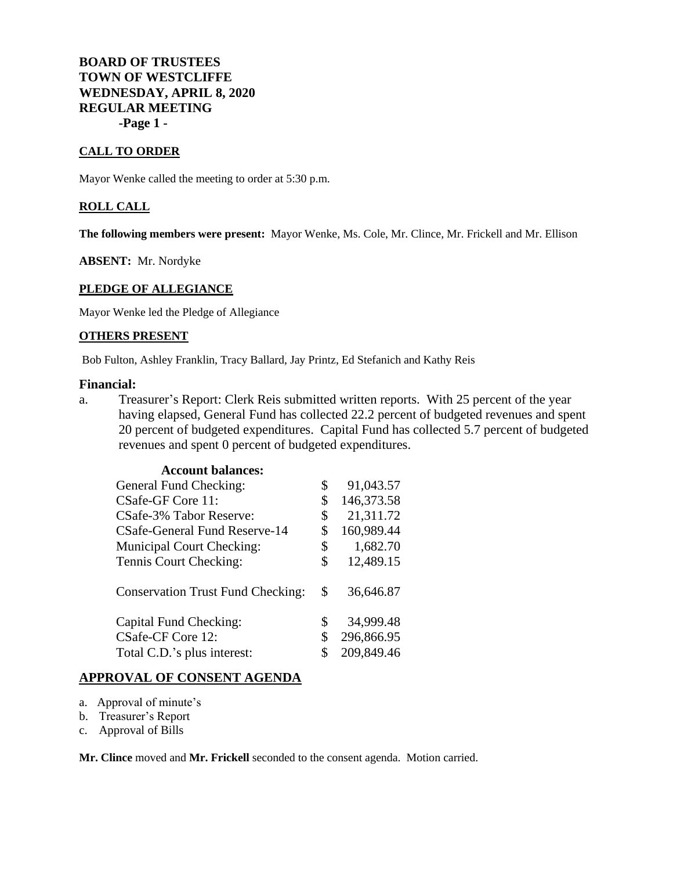**BOARD OF TRUSTEES TOWN OF WESTCLIFFE WEDNESDAY, APRIL 8, 2020 REGULAR MEETING -Page 1 -**

### **CALL TO ORDER**

Mayor Wenke called the meeting to order at 5:30 p.m.

### **ROLL CALL**

**The following members were present:** Mayor Wenke, Ms. Cole, Mr. Clince, Mr. Frickell and Mr. Ellison

**ABSENT:** Mr. Nordyke

## **PLEDGE OF ALLEGIANCE**

Mayor Wenke led the Pledge of Allegiance

### **OTHERS PRESENT**

Bob Fulton, Ashley Franklin, Tracy Ballard, Jay Printz, Ed Stefanich and Kathy Reis

# **Financial:**

a. Treasurer's Report: Clerk Reis submitted written reports. With 25 percent of the year having elapsed, General Fund has collected 22.2 percent of budgeted revenues and spent 20 percent of budgeted expenditures. Capital Fund has collected 5.7 percent of budgeted revenues and spent 0 percent of budgeted expenditures.

| <b>Account balances:</b>                 |                  |
|------------------------------------------|------------------|
| General Fund Checking:                   | \$<br>91,043.57  |
| CSafe-GF Core 11:                        | \$<br>146,373.58 |
| CSafe-3% Tabor Reserve:                  | \$<br>21,311.72  |
| CSafe-General Fund Reserve-14            | \$<br>160,989.44 |
| <b>Municipal Court Checking:</b>         | \$<br>1,682.70   |
| Tennis Court Checking:                   | \$<br>12,489.15  |
| <b>Conservation Trust Fund Checking:</b> | \$<br>36,646.87  |
| Capital Fund Checking:                   | \$<br>34,999.48  |
| CSafe-CF Core 12:                        | \$<br>296,866.95 |
| Total C.D.'s plus interest:              | \$<br>209,849.46 |
|                                          |                  |

# **APPROVAL OF CONSENT AGENDA**

- a. Approval of minute's
- b. Treasurer's Report
- c. Approval of Bills

**Mr. Clince** moved and **Mr. Frickell** seconded to the consent agenda. Motion carried.